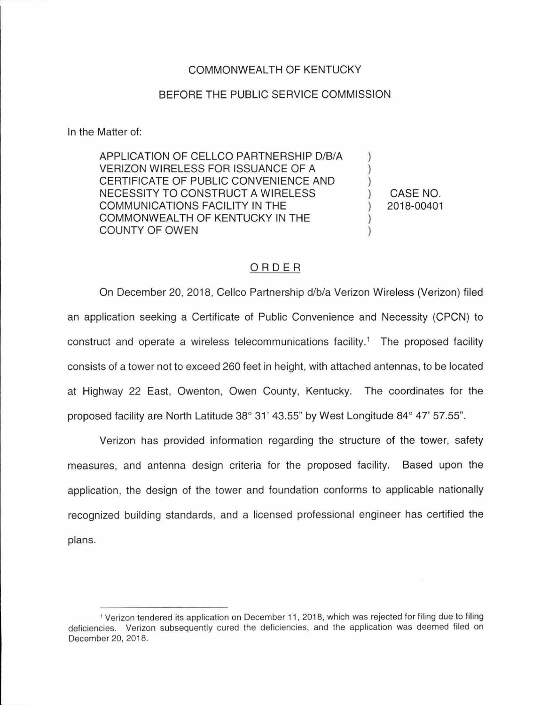## COMMONWEALTH OF KENTUCKY

## BEFORE THE PUBLIC SERVICE COMMISSION

In the Matter of:

APPLICATION OF CELLCO PARTNERSHIP D/B/A VERIZON WIRELESS FOR ISSUANCE OF A CERTIFICATE OF PUBLIC CONVENIENCE AND NECESSITY TO CONSTRUCT A WIRELESS COMMUNICATIONS FACILITY IN THE COMMONWEALTH OF KENTUCKY IN THE COUNTY OF OWEN

) CASE NO. ) 2018-00401

) ) )

) )

## ORDER

On December 20, 2018, Cellco Partnership d/b/a Verizon Wireless (Verizon) filed an application seeking a Certificate of Public Convenience and Necessity (CPCN) to construct and operate a wireless telecommunications facility.<sup>1</sup> The proposed facility consists of a tower not to exceed 260 feet in height, with attached antennas, to be located at Highway 22 East, Owenton, Owen County, Kentucky. The coordinates for the proposed facility are North Latitude 38° 31' 43.55" by West Longitude 84° 47' 57.55".

Verizon has provided information regarding the structure of the tower, safety measures, and antenna design criteria for the proposed facility. Based upon the application, the design of the tower and foundation conforms to applicable nationally recognized building standards, and a licensed professional engineer has certified the plans.

<sup>1</sup>Verizon tendered its application on December 11 , 2018, which was rejected for filing due to filing deficiencies. Verizon subsequently cured the deficiencies, and the application was deemed filed on December 20, 2018.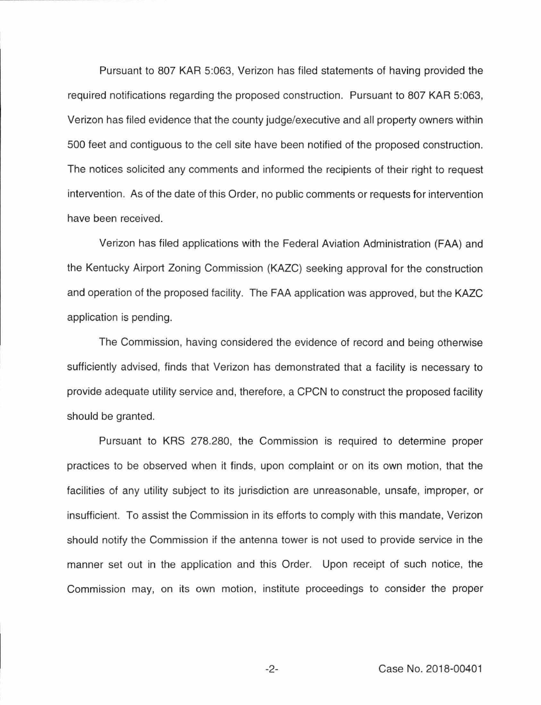Pursuant to 807 KAR 5:063, Verizon has filed statements of having provided the required notifications regarding the proposed construction. Pursuant to 807 KAR 5:063, Verizon has filed evidence that the county judge/executive and all property owners within 500 feet and contiguous to the cell site have been notified of the proposed construction. The notices solicited any comments and informed the recipients of their right to request intervention. As of the date of this Order, no public comments or requests for intervention have been received.

Verizon has filed applications with the Federal Aviation Administration (FAA) and the Kentucky Airport Zoning Commission (KAZC) seeking approval for the construction and operation of the proposed facility. The FAA application was approved, but the KAZC application is pending.

The Commission, having considered the evidence of record and being otherwise sufficiently advised, finds that Verizon has demonstrated that a facility is necessary to provide adequate utility service and, therefore, a CPCN to construct the proposed facility should be granted.

Pursuant to KRS 278.280, the Commission is required to determine proper practices to be observed when it finds, upon complaint or on its own motion, that the facilities of any utility subject to its jurisdiction are unreasonable, unsafe, improper, or insufficient. To assist the Commission in its efforts to comply with this mandate, Verizon should notify the Commission if the antenna tower is not used to provide service in the manner set out in the application and this Order. Upon receipt of such notice, the Commission may, on its own motion , institute proceedings to consider the proper

-2- Case No. 2018-00401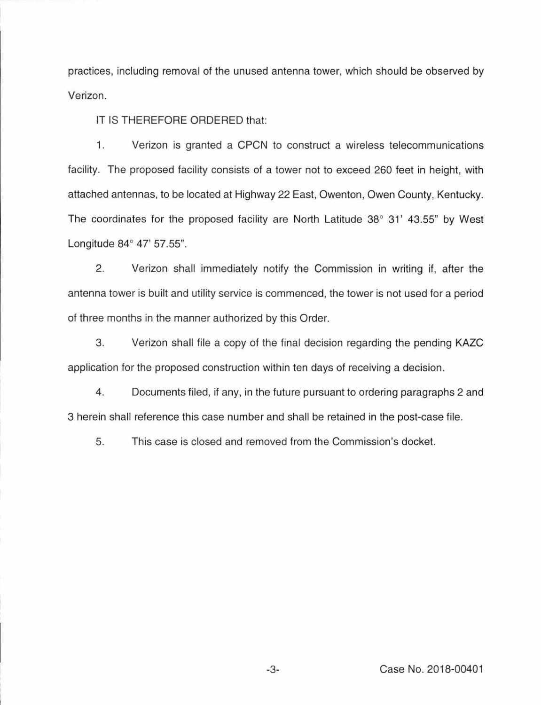practices, including removal of the unused antenna tower, which should be observed by Verizon.

IT IS THEREFORE ORDERED that:

1. Verizon is granted a CPCN to construct a wireless telecommunications facility. The proposed facility consists of a tower not to exceed 260 feet in height, with attached antennas, to be located at Highway 22 East, Owenton, Owen County, Kentucky. The coordinates for the proposed facility are North Latitude 38° 31' 43.55" by West Longitude 84° 47' 57.55".

2. Verizon shall immediately notify the Commission in writing if, after the antenna tower is built and utility service is commenced, the tower is not used for a period of three months in the manner authorized by this Order.

3. Verizon shall file a copy of the final decision regarding the pending KAZC application for the proposed construction within ten days of receiving a decision.

4. Documents filed, if any, in the future pursuant to ordering paragraphs 2 and 3 herein shall reference this case number and shall be retained in the post-case file.

5. This case is closed and removed from the Commission's docket.

-3- Case No. 2018-00401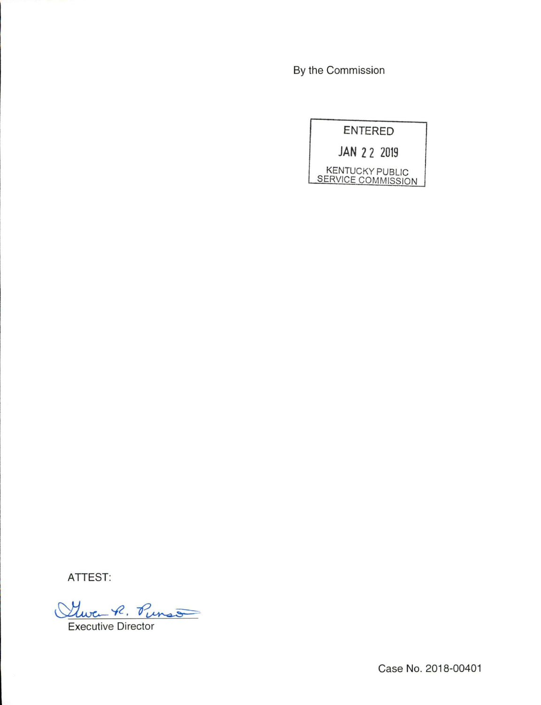By the Commission



ATTEST:

Que R. Punso

**Executive Director** 

Case No. 2018-00401